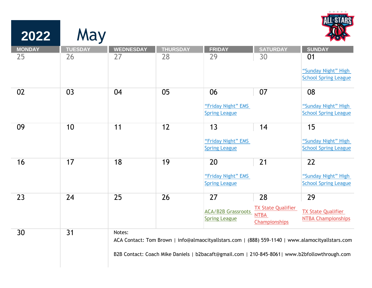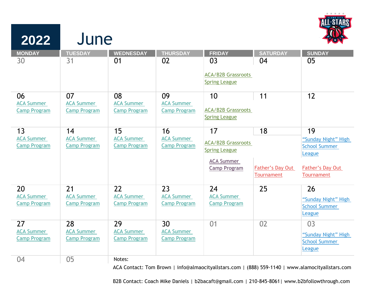

| 2022                                     | June                                     |                                          |                                          |                           |                                       |                                |
|------------------------------------------|------------------------------------------|------------------------------------------|------------------------------------------|---------------------------|---------------------------------------|--------------------------------|
| <b>MONDAY</b>                            | <b>TUESDAY</b>                           | <b>WEDNESDAY</b>                         | <b>THURSDAY</b>                          | <b>FRIDAY</b>             | <b>SATURDAY</b>                       | <b>SUNDAY</b>                  |
| 30                                       | 31                                       | 01                                       | 02                                       | 03                        | 04                                    | 05                             |
|                                          |                                          |                                          |                                          | <b>ACA/B2B Grassroots</b> |                                       |                                |
|                                          |                                          |                                          |                                          | <b>Spring League</b>      |                                       |                                |
| 06                                       | 07                                       | 08                                       | 09                                       | 10                        | 11                                    | 12                             |
| <b>ACA Summer</b><br><b>Camp Program</b> | <b>ACA Summer</b><br><b>Camp Program</b> | <b>ACA Summer</b><br><b>Camp Program</b> | <b>ACA Summer</b><br><b>Camp Program</b> | <b>ACA/B2B Grassroots</b> |                                       |                                |
|                                          |                                          |                                          |                                          | <b>Spring League</b>      |                                       |                                |
| 13                                       | 14                                       | 15                                       | 16                                       | 17                        | 18                                    | 19                             |
| <b>ACA Summer</b>                        | <b>ACA Summer</b>                        | <b>ACA Summer</b>                        | <b>ACA Summer</b>                        | <b>ACA/B2B Grassroots</b> |                                       | "Sunday Night" High            |
| <b>Camp Program</b>                      | <b>Camp Program</b>                      | <b>Camp Program</b>                      | <b>Camp Program</b>                      | <b>Spring League</b>      |                                       | <b>School Summer</b><br>League |
|                                          |                                          |                                          |                                          | <b>ACA Summer</b>         |                                       |                                |
|                                          |                                          |                                          |                                          | Camp Program              | <b>Father's Day Out</b><br>Tournament | Father's Day Out<br>Tournament |
|                                          |                                          |                                          |                                          |                           |                                       |                                |
| 20                                       | 21                                       | 22                                       | 23                                       | 24                        | 25                                    | 26                             |
| <b>ACA Summer</b>                        | <b>ACA Summer</b><br><b>Camp Program</b> | <b>ACA Summer</b>                        | <b>ACA Summer</b>                        | <b>ACA Summer</b>         |                                       | "Sunday Night" High            |
| <b>Camp Program</b>                      |                                          | <b>Camp Program</b>                      | <b>Camp Program</b>                      | <b>Camp Program</b>       |                                       | <b>School Summer</b>           |
|                                          |                                          |                                          |                                          |                           |                                       | League                         |
| 27                                       | 28                                       | 29                                       | 30                                       | 01                        | 02                                    | 03                             |
| <b>ACA Summer</b>                        | <b>ACA Summer</b>                        | <b>ACA Summer</b>                        | <b>ACA Summer</b>                        |                           |                                       | "Sunday Night" High            |
| <b>Camp Program</b>                      | <b>Camp Program</b>                      | <b>Camp Program</b>                      | <b>Camp Program</b>                      |                           |                                       | <b>School Summer</b>           |
|                                          |                                          |                                          |                                          |                           |                                       | League                         |
| 04                                       | 05                                       | Notes:                                   |                                          |                           |                                       |                                |

ACA Contact: Tom Brown | info@almaocityallstars.com | (888) 559-1140 |<www.alamocityallstars.com>

B2B Contact: Coach Mike Daniels | b2bacaft@gmail.com | 210-845-8061|<www.b2bfollowthrough.com>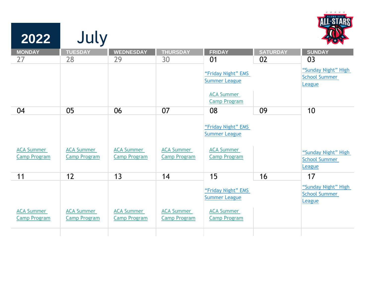| 2022                                     | July                                     |                                          |                                          |                                            |                 |                                                       |
|------------------------------------------|------------------------------------------|------------------------------------------|------------------------------------------|--------------------------------------------|-----------------|-------------------------------------------------------|
| <b>MONDAY</b>                            | <b>TUESDAY</b>                           | <b>WEDNESDAY</b>                         | <b>THURSDAY</b>                          | <b>FRIDAY</b>                              | <b>SATURDAY</b> | <b>SUNDAY</b>                                         |
| 27                                       | 28                                       | 29                                       | 30                                       | 01                                         | 02              | 03                                                    |
|                                          |                                          |                                          |                                          | "Friday Night" EMS<br><b>Summer League</b> |                 | "Sunday Night" High<br><b>School Summer</b><br>League |
|                                          |                                          |                                          |                                          | <b>ACA Summer</b>                          |                 |                                                       |
|                                          |                                          |                                          |                                          | <b>Camp Program</b>                        |                 |                                                       |
| 04                                       | 05                                       | 06                                       | 07                                       | 08                                         | 09              | 10                                                    |
|                                          |                                          |                                          |                                          | "Friday Night" EMS<br><b>Summer League</b> |                 |                                                       |
| <b>ACA Summer</b>                        | <b>ACA Summer</b>                        | <b>ACA Summer</b>                        | <b>ACA Summer</b>                        | <b>ACA Summer</b>                          |                 | "Sunday Night" High                                   |
| <b>Camp Program</b>                      | <b>Camp Program</b>                      | <b>Camp Program</b>                      | <b>Camp Program</b>                      | <b>Camp Program</b>                        |                 | <b>School Summer</b>                                  |
|                                          |                                          |                                          |                                          |                                            |                 | League                                                |
| 11                                       | 12                                       | 13                                       | 14                                       | 15                                         | 16              | 17                                                    |
|                                          |                                          |                                          |                                          | "Friday Night" EMS<br><b>Summer League</b> |                 | "Sunday Night" High<br><b>School Summer</b><br>League |
| <b>ACA Summer</b><br><b>Camp Program</b> | <b>ACA Summer</b><br><b>Camp Program</b> | <b>ACA Summer</b><br><b>Camp Program</b> | <b>ACA Summer</b><br><b>Camp Program</b> | <b>ACA Summer</b><br><b>Camp Program</b>   |                 |                                                       |
|                                          |                                          |                                          |                                          |                                            |                 |                                                       |

\* \* \* \* \*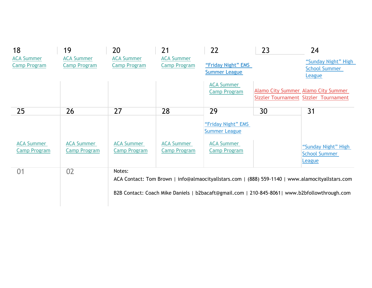| 18                  | 19                  | 20                  | 21                  | 22                   | 23 | 24                                                                                               |
|---------------------|---------------------|---------------------|---------------------|----------------------|----|--------------------------------------------------------------------------------------------------|
| <b>ACA Summer</b>   | <b>ACA Summer</b>   | <b>ACA Summer</b>   | <b>ACA Summer</b>   |                      |    | "Sunday Night" High                                                                              |
| <b>Camp Program</b> | <b>Camp Program</b> | <b>Camp Program</b> | <b>Camp Program</b> | "Friday Night" EMS   |    | <b>School Summer</b>                                                                             |
|                     |                     |                     |                     | <b>Summer League</b> |    | League                                                                                           |
|                     |                     |                     |                     | <b>ACA Summer</b>    |    |                                                                                                  |
|                     |                     |                     |                     | <b>Camp Program</b>  |    | <b>Alamo City Summer Alamo City Summer</b>                                                       |
|                     |                     |                     |                     |                      |    | Sizzler Tournament Sizzler Tournament                                                            |
| 25                  | 26                  | 27                  | 28                  | 29                   | 30 | 31                                                                                               |
|                     |                     |                     |                     |                      |    |                                                                                                  |
|                     |                     |                     |                     | "Friday Night" EMS   |    |                                                                                                  |
|                     |                     |                     |                     | <b>Summer League</b> |    |                                                                                                  |
| <b>ACA Summer</b>   | <b>ACA Summer</b>   | <b>ACA Summer</b>   | <b>ACA Summer</b>   | <b>ACA Summer</b>    |    |                                                                                                  |
| <b>Camp Program</b> | <b>Camp Program</b> | <b>Camp Program</b> | <b>Camp Program</b> | <b>Camp Program</b>  |    | "Sunday Night" High                                                                              |
|                     |                     |                     |                     |                      |    | <b>School Summer</b>                                                                             |
|                     |                     |                     |                     |                      |    | League                                                                                           |
| 01                  | 02                  | Notes:              |                     |                      |    |                                                                                                  |
|                     |                     |                     |                     |                      |    | ACA Contact: Tom Brown   info@almaocityallstars.com   (888) 559-1140   www.alamocityallstars.com |
|                     |                     |                     |                     |                      |    |                                                                                                  |
|                     |                     |                     |                     |                      |    | B2B Contact: Coach Mike Daniels   b2bacaft@gmail.com   210-845-8061  www.b2bfollowthrough.com    |
|                     |                     |                     |                     |                      |    |                                                                                                  |
|                     |                     |                     |                     |                      |    |                                                                                                  |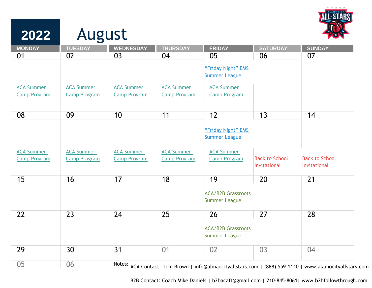

| 2022                                     | August                                   |                                          |                                          |                                                                 |                                       |                                                                                                         |  |
|------------------------------------------|------------------------------------------|------------------------------------------|------------------------------------------|-----------------------------------------------------------------|---------------------------------------|---------------------------------------------------------------------------------------------------------|--|
| <b>MONDAY</b>                            | <b>TUESDAY</b>                           | <b>WEDNESDAY</b>                         | <b>THURSDAY</b>                          | <b>FRIDAY</b>                                                   | <b>SATURDAY</b>                       | <b>SUNDAY</b>                                                                                           |  |
| 01                                       | 02                                       | 03                                       | 04                                       | 05<br>"Friday Night" EMS<br><b>Summer League</b>                | 06                                    | 07                                                                                                      |  |
| <b>ACA Summer</b><br><b>Camp Program</b> | <b>ACA Summer</b><br><b>Camp Program</b> | <b>ACA Summer</b><br><b>Camp Program</b> | <b>ACA Summer</b><br><b>Camp Program</b> | <b>ACA Summer</b><br><b>Camp Program</b>                        |                                       |                                                                                                         |  |
| 08                                       | 09                                       | 10                                       | 11                                       | 12                                                              | 13                                    | 14                                                                                                      |  |
| <b>ACA Summer</b>                        | <b>ACA Summer</b>                        | <b>ACA Summer</b>                        | <b>ACA Summer</b>                        | "Friday Night" EMS<br><b>Summer League</b><br><b>ACA Summer</b> |                                       |                                                                                                         |  |
| <b>Camp Program</b>                      | <b>Camp Program</b>                      | <b>Camp Program</b>                      | <b>Camp Program</b>                      | <b>Camp Program</b>                                             | <b>Back to School</b><br>Invitational | <b>Back to School</b><br>Invitational                                                                   |  |
| 15                                       | 16                                       | 17                                       | 18                                       | 19<br><b>ACA/B2B Grassroots</b><br><b>Summer League</b>         | 20                                    | 21                                                                                                      |  |
| 22                                       | 23                                       | 24                                       | 25                                       | 26<br><b>ACA/B2B Grassroots</b><br><b>Summer League</b>         | 27                                    | 28                                                                                                      |  |
| 29                                       | 30                                       | 31                                       | 01                                       | 02                                                              | 03                                    | 04                                                                                                      |  |
| 05                                       | 06                                       |                                          |                                          |                                                                 |                                       | Notes: ACA Contact: Tom Brown   info@almaocityallstars.com   (888) 559-1140   www.alamocityallstars.com |  |

B2B Contact: Coach Mike Daniels | b2bacaft@gmail.com | 210-845-8061| <www.b2bfollowthrough.com>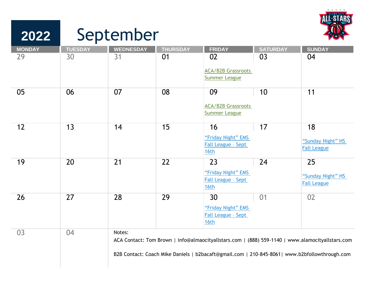

## **2022 MONDAY TUESDAY WEDNESDAY THURSDAY FRIDAY SATURDAY SUNDAY** 29 30 31 01 02 03 04 [ACA/B2B Grassroots](https://alamocityallstars.com/event/aca-b2b-grassroots-summer-league/)  [Summer League](https://alamocityallstars.com/event/aca-b2b-grassroots-summer-league/) 05 06 07 08 09 10 11 [ACA/B2B Grassroots](https://alamocityallstars.com/event/aca-b2b-grassroots-summer-league/)  [Summer League](https://alamocityallstars.com/event/aca-b2b-grassroots-summer-league/) 12 13 14 15 16 17 18 "Friday Night" EMS [Fall League – Sept](https://alamocityallstars.com/event/friday-night-ems-fall-league-2022/)  [16th](https://alamocityallstars.com/event/friday-night-ems-fall-league-2022/) ["Sunday Night" HS](https://alamocityallstars.com/event/sunday-hs-fall-league-uil-tapps-other-2022/)  [Fall League](https://alamocityallstars.com/event/sunday-hs-fall-league-uil-tapps-other-2022/) 19 20 21 22 23 24 25 "Friday Night" EMS [Fall League – Sept](https://alamocityallstars.com/event/friday-night-ems-fall-league-2022/)  [16th](https://alamocityallstars.com/event/friday-night-ems-fall-league-2022/) ["Sunday Night" HS](https://alamocityallstars.com/event/sunday-hs-fall-league-uil-tapps-other-2022/)  [Fall League](https://alamocityallstars.com/event/sunday-hs-fall-league-uil-tapps-other-2022/) 26 27 28 29 30 01 02 "Friday Night" EMS [Fall League – Sept](https://alamocityallstars.com/event/friday-night-ems-fall-league-2022/)  [16th](https://alamocityallstars.com/event/friday-night-ems-fall-league-2022/) 03 04 Notes: ACA Contact: Tom Brown | info@almaocityallstars.com | (888) 559-1140 |<www.alamocityallstars.com> B2B Contact: Coach Mike Daniels | b2bacaft@gmail.com | 210-845-8061[| www.b2bfollowthrough.com](www.b2bfollowthrough.com)

September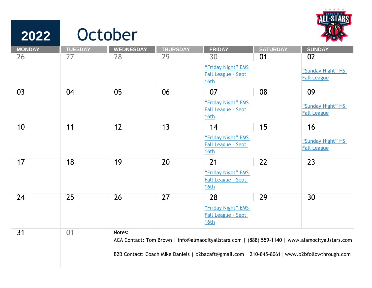

## **2022 MONDAY TUESDAY WEDNESDAY THURSDAY FRIDAY SATURDAY SUNDAY** 26 27 28 29 30 01 02 ["Friday Night" EMS](https://alamocityallstars.com/event/friday-night-ems-fall-league-2022/)  [Fall League – Sept](https://alamocityallstars.com/event/friday-night-ems-fall-league-2022/)  [16th](https://alamocityallstars.com/event/friday-night-ems-fall-league-2022/) ["Sunday Night" HS](https://alamocityallstars.com/event/sunday-hs-fall-league-uil-tapps-other-2022/)  [Fall League](https://alamocityallstars.com/event/sunday-hs-fall-league-uil-tapps-other-2022/) 03 04 05 06 07 08 09 ["Friday Night" EMS](https://alamocityallstars.com/event/friday-night-ems-fall-league-2022/)  [Fall League – Sept](https://alamocityallstars.com/event/friday-night-ems-fall-league-2022/)  [16th](https://alamocityallstars.com/event/friday-night-ems-fall-league-2022/) "Sunday Night" HS [Fall League](https://alamocityallstars.com/event/sunday-hs-fall-league-uil-tapps-other-2022/) 10 11 12 13 14 15 16 "Friday Night" EMS [Fall League – Sept](https://alamocityallstars.com/event/friday-night-ems-fall-league-2022/)  [16th](https://alamocityallstars.com/event/friday-night-ems-fall-league-2022/) ["Sunday Night" HS](https://alamocityallstars.com/event/sunday-hs-fall-league-uil-tapps-other-2022/)  [Fall League](https://alamocityallstars.com/event/sunday-hs-fall-league-uil-tapps-other-2022/) 17 18 19 20 21 22 23 "Friday Night" EMS [Fall League – Sept](https://alamocityallstars.com/event/friday-night-ems-fall-league-2022/)  [16th](https://alamocityallstars.com/event/friday-night-ems-fall-league-2022/) 24 25 26 27 28 29 30 "Friday Night" EMS [Fall League – Sept](https://alamocityallstars.com/event/friday-night-ems-fall-league-2022/)  [16th](https://alamocityallstars.com/event/friday-night-ems-fall-league-2022/) 31 01 **October** Notes: ACA Contact: Tom Brown | info@almaocityallstars.com | (888) 559-1140 |<www.alamocityallstars.com>

B2B Contact: Coach Mike Daniels | b2bacaft@gmail.com | 210-845-8061|<www.b2bfollowthrough.com>